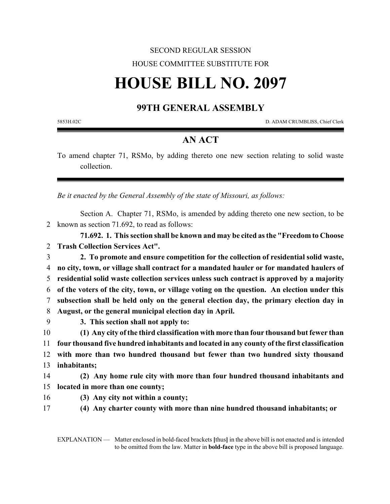## SECOND REGULAR SESSION HOUSE COMMITTEE SUBSTITUTE FOR

## **HOUSE BILL NO. 2097**

## **99TH GENERAL ASSEMBLY**

5853H.02C D. ADAM CRUMBLISS, Chief Clerk

## **AN ACT**

To amend chapter 71, RSMo, by adding thereto one new section relating to solid waste collection.

*Be it enacted by the General Assembly of the state of Missouri, as follows:*

Section A. Chapter 71, RSMo, is amended by adding thereto one new section, to be 2 known as section 71.692, to read as follows:

**71.692. 1. This section shall be known and may be cited as the "Freedom to Choose** 2 **Trash Collection Services Act".**

 **2. To promote and ensure competition for the collection of residential solid waste, no city, town, or village shall contract for a mandated hauler or for mandated haulers of residential solid waste collection services unless such contract is approved by a majority of the voters of the city, town, or village voting on the question. An election under this subsection shall be held only on the general election day, the primary election day in August, or the general municipal election day in April.**

9 **3. This section shall not apply to:**

 **(1) Any city of the third classification with more than four thousand but fewer than four thousand five hundred inhabitants and located in any county of the first classification with more than two hundred thousand but fewer than two hundred sixty thousand inhabitants;**

14 **(2) Any home rule city with more than four hundred thousand inhabitants and** 15 **located in more than one county;**

16 **(3) Any city not within a county;**

17 **(4) Any charter county with more than nine hundred thousand inhabitants; or**

EXPLANATION — Matter enclosed in bold-faced brackets **[**thus**]** in the above bill is not enacted and is intended to be omitted from the law. Matter in **bold-face** type in the above bill is proposed language.